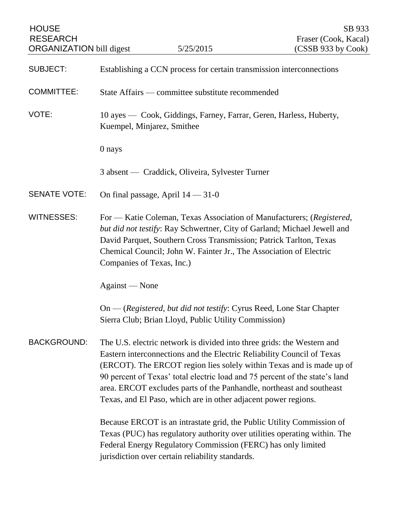| <b>HOUSE</b><br><b>RESEARCH</b><br><b>ORGANIZATION</b> bill digest |                                                                                                                                                                                                                                                                                                                                                                                                                                                   | 5/25/2015                                                                                                                                                                                 | SB 933<br>Fraser (Cook, Kacal)<br>(CSSB 933 by Cook)                      |
|--------------------------------------------------------------------|---------------------------------------------------------------------------------------------------------------------------------------------------------------------------------------------------------------------------------------------------------------------------------------------------------------------------------------------------------------------------------------------------------------------------------------------------|-------------------------------------------------------------------------------------------------------------------------------------------------------------------------------------------|---------------------------------------------------------------------------|
| <b>SUBJECT:</b>                                                    |                                                                                                                                                                                                                                                                                                                                                                                                                                                   | Establishing a CCN process for certain transmission interconnections                                                                                                                      |                                                                           |
| <b>COMMITTEE:</b>                                                  |                                                                                                                                                                                                                                                                                                                                                                                                                                                   | State Affairs — committee substitute recommended                                                                                                                                          |                                                                           |
| VOTE:                                                              | 10 ayes — Cook, Giddings, Farney, Farrar, Geren, Harless, Huberty,<br>Kuempel, Minjarez, Smithee                                                                                                                                                                                                                                                                                                                                                  |                                                                                                                                                                                           |                                                                           |
|                                                                    | 0 nays                                                                                                                                                                                                                                                                                                                                                                                                                                            |                                                                                                                                                                                           |                                                                           |
|                                                                    |                                                                                                                                                                                                                                                                                                                                                                                                                                                   | 3 absent — Craddick, Oliveira, Sylvester Turner                                                                                                                                           |                                                                           |
| <b>SENATE VOTE:</b>                                                |                                                                                                                                                                                                                                                                                                                                                                                                                                                   | On final passage, April $14 - 31 - 0$                                                                                                                                                     |                                                                           |
| <b>WITNESSES:</b>                                                  | For — Katie Coleman, Texas Association of Manufacturers; (Registered,<br>but did not testify: Ray Schwertner, City of Garland; Michael Jewell and<br>David Parquet, Southern Cross Transmission; Patrick Tarlton, Texas<br>Chemical Council; John W. Fainter Jr., The Association of Electric<br>Companies of Texas, Inc.)                                                                                                                        |                                                                                                                                                                                           |                                                                           |
|                                                                    | Against — None                                                                                                                                                                                                                                                                                                                                                                                                                                    |                                                                                                                                                                                           |                                                                           |
|                                                                    | On — (Registered, but did not testify: Cyrus Reed, Lone Star Chapter<br>Sierra Club; Brian Lloyd, Public Utility Commission)                                                                                                                                                                                                                                                                                                                      |                                                                                                                                                                                           |                                                                           |
| <b>BACKGROUND:</b>                                                 | The U.S. electric network is divided into three grids: the Western and<br>Eastern interconnections and the Electric Reliability Council of Texas<br>(ERCOT). The ERCOT region lies solely within Texas and is made up of<br>90 percent of Texas' total electric load and 75 percent of the state's land<br>area. ERCOT excludes parts of the Panhandle, northeast and southeast<br>Texas, and El Paso, which are in other adjacent power regions. |                                                                                                                                                                                           |                                                                           |
|                                                                    |                                                                                                                                                                                                                                                                                                                                                                                                                                                   | Because ERCOT is an intrastate grid, the Public Utility Commission of<br>Federal Energy Regulatory Commission (FERC) has only limited<br>jurisdiction over certain reliability standards. | Texas (PUC) has regulatory authority over utilities operating within. The |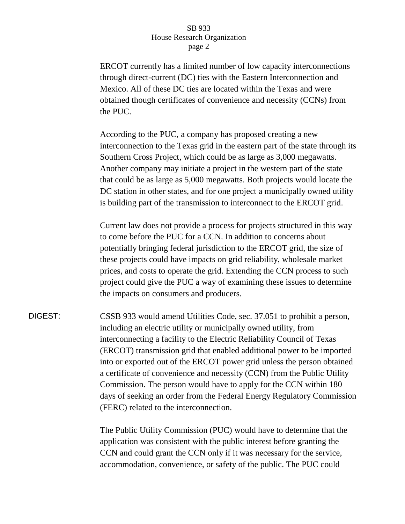## SB 933 House Research Organization page 2

ERCOT currently has a limited number of low capacity interconnections through direct-current (DC) ties with the Eastern Interconnection and Mexico. All of these DC ties are located within the Texas and were obtained though certificates of convenience and necessity (CCNs) from the PUC.

According to the PUC, a company has proposed creating a new interconnection to the Texas grid in the eastern part of the state through its Southern Cross Project, which could be as large as 3,000 megawatts. Another company may initiate a project in the western part of the state that could be as large as 5,000 megawatts. Both projects would locate the DC station in other states, and for one project a municipally owned utility is building part of the transmission to interconnect to the ERCOT grid.

Current law does not provide a process for projects structured in this way to come before the PUC for a CCN. In addition to concerns about potentially bringing federal jurisdiction to the ERCOT grid, the size of these projects could have impacts on grid reliability, wholesale market prices, and costs to operate the grid. Extending the CCN process to such project could give the PUC a way of examining these issues to determine the impacts on consumers and producers.

DIGEST: CSSB 933 would amend Utilities Code, sec. 37.051 to prohibit a person, including an electric utility or municipally owned utility, from interconnecting a facility to the Electric Reliability Council of Texas (ERCOT) transmission grid that enabled additional power to be imported into or exported out of the ERCOT power grid unless the person obtained a certificate of convenience and necessity (CCN) from the Public Utility Commission. The person would have to apply for the CCN within 180 days of seeking an order from the Federal Energy Regulatory Commission (FERC) related to the interconnection.

> The Public Utility Commission (PUC) would have to determine that the application was consistent with the public interest before granting the CCN and could grant the CCN only if it was necessary for the service, accommodation, convenience, or safety of the public. The PUC could